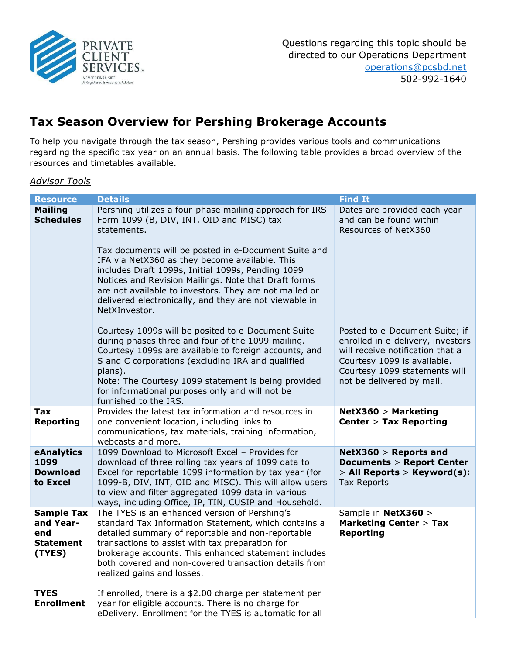

Questions regarding this topic should be directed to our Operations Department operations@pcsbd.net 502-992-1640

# Tax Season Overview for Pershing Brokerage Accounts

To help you navigate through the tax season, Pershing provides various tools and communications regarding the specific tax year on an annual basis. The following table provides a broad overview of the resources and timetables available.

### Advisor Tools

| <b>Resource</b>                                                     | <b>Details</b>                                                                                                                                                                                                                                                                                                                                                                                                                                                                  | <b>Find It</b>                                                                                                                                                                                       |
|---------------------------------------------------------------------|---------------------------------------------------------------------------------------------------------------------------------------------------------------------------------------------------------------------------------------------------------------------------------------------------------------------------------------------------------------------------------------------------------------------------------------------------------------------------------|------------------------------------------------------------------------------------------------------------------------------------------------------------------------------------------------------|
| <b>Mailing</b><br><b>Schedules</b>                                  | Pershing utilizes a four-phase mailing approach for IRS<br>Form 1099 (B, DIV, INT, OID and MISC) tax<br>statements.<br>Tax documents will be posted in e-Document Suite and<br>IFA via NetX360 as they become available. This<br>includes Draft 1099s, Initial 1099s, Pending 1099<br>Notices and Revision Mailings. Note that Draft forms<br>are not available to investors. They are not mailed or<br>delivered electronically, and they are not viewable in<br>NetXInvestor. | Dates are provided each year<br>and can be found within<br>Resources of NetX360                                                                                                                      |
|                                                                     | Courtesy 1099s will be posited to e-Document Suite<br>during phases three and four of the 1099 mailing.<br>Courtesy 1099s are available to foreign accounts, and<br>S and C corporations (excluding IRA and qualified<br>plans).<br>Note: The Courtesy 1099 statement is being provided<br>for informational purposes only and will not be<br>furnished to the IRS.                                                                                                             | Posted to e-Document Suite; if<br>enrolled in e-delivery, investors<br>will receive notification that a<br>Courtesy 1099 is available.<br>Courtesy 1099 statements will<br>not be delivered by mail. |
| <b>Tax</b><br>Reporting                                             | Provides the latest tax information and resources in<br>one convenient location, including links to<br>communications, tax materials, training information,<br>webcasts and more.                                                                                                                                                                                                                                                                                               | NetX360 > Marketing<br><b>Center &gt; Tax Reporting</b>                                                                                                                                              |
| eAnalytics<br>1099<br><b>Download</b><br>to Excel                   | 1099 Download to Microsoft Excel - Provides for<br>download of three rolling tax years of 1099 data to<br>Excel for reportable 1099 information by tax year (for<br>1099-B, DIV, INT, OID and MISC). This will allow users<br>to view and filter aggregated 1099 data in various<br>ways, including Office, IP, TIN, CUSIP and Household.                                                                                                                                       | $NetX360 > Reports$ and<br><b>Documents &gt; Report Center</b><br>> All Reports > Keyword(s):<br><b>Tax Reports</b>                                                                                  |
| <b>Sample Tax</b><br>and Year-<br>end<br><b>Statement</b><br>(TYES) | The TYES is an enhanced version of Pershing's<br>standard Tax Information Statement, which contains a<br>detailed summary of reportable and non-reportable<br>transactions to assist with tax preparation for<br>brokerage accounts. This enhanced statement includes<br>both covered and non-covered transaction details from<br>realized gains and losses.                                                                                                                    | Sample in NetX360 ><br><b>Marketing Center &gt; Tax</b><br><b>Reporting</b>                                                                                                                          |
| <b>TYES</b><br><b>Enrollment</b>                                    | If enrolled, there is a \$2.00 charge per statement per<br>year for eligible accounts. There is no charge for<br>eDelivery. Enrollment for the TYES is automatic for all                                                                                                                                                                                                                                                                                                        |                                                                                                                                                                                                      |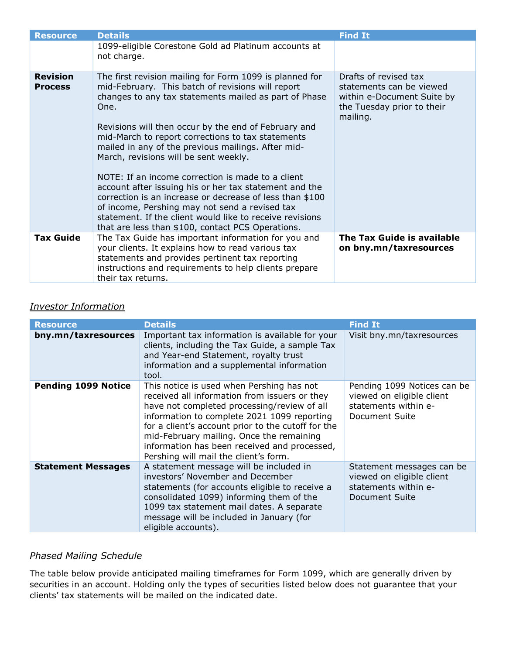| <b>Resource</b>                   | <b>Details</b>                                                                                                                                                                                                                                                                                                                                                                                                                                                                                                                                                                                                                                                                                                                          | <b>Find It</b>                                                                                                            |
|-----------------------------------|-----------------------------------------------------------------------------------------------------------------------------------------------------------------------------------------------------------------------------------------------------------------------------------------------------------------------------------------------------------------------------------------------------------------------------------------------------------------------------------------------------------------------------------------------------------------------------------------------------------------------------------------------------------------------------------------------------------------------------------------|---------------------------------------------------------------------------------------------------------------------------|
|                                   | 1099-eligible Corestone Gold ad Platinum accounts at<br>not charge.                                                                                                                                                                                                                                                                                                                                                                                                                                                                                                                                                                                                                                                                     |                                                                                                                           |
| <b>Revision</b><br><b>Process</b> | The first revision mailing for Form 1099 is planned for<br>mid-February. This batch of revisions will report<br>changes to any tax statements mailed as part of Phase<br>One.<br>Revisions will then occur by the end of February and<br>mid-March to report corrections to tax statements<br>mailed in any of the previous mailings. After mid-<br>March, revisions will be sent weekly.<br>NOTE: If an income correction is made to a client<br>account after issuing his or her tax statement and the<br>correction is an increase or decrease of less than \$100<br>of income, Pershing may not send a revised tax<br>statement. If the client would like to receive revisions<br>that are less than \$100, contact PCS Operations. | Drafts of revised tax<br>statements can be viewed<br>within e-Document Suite by<br>the Tuesday prior to their<br>mailing. |
| <b>Tax Guide</b>                  | The Tax Guide has important information for you and<br>your clients. It explains how to read various tax<br>statements and provides pertinent tax reporting<br>instructions and requirements to help clients prepare<br>their tax returns.                                                                                                                                                                                                                                                                                                                                                                                                                                                                                              | The Tax Guide is available<br>on bny.mn/taxresources                                                                      |

## Investor Information

| <b>Resource</b>            | <b>Details</b>                                                                                                                                                                                                                                                                                                                                                                      | <b>Find It</b>                                                                                     |
|----------------------------|-------------------------------------------------------------------------------------------------------------------------------------------------------------------------------------------------------------------------------------------------------------------------------------------------------------------------------------------------------------------------------------|----------------------------------------------------------------------------------------------------|
| bny.mn/taxresources        | Important tax information is available for your<br>clients, including the Tax Guide, a sample Tax<br>and Year-end Statement, royalty trust<br>information and a supplemental information<br>tool.                                                                                                                                                                                   | Visit bny.mn/taxresources                                                                          |
| <b>Pending 1099 Notice</b> | This notice is used when Pershing has not<br>received all information from issuers or they<br>have not completed processing/review of all<br>information to complete 2021 1099 reporting<br>for a client's account prior to the cutoff for the<br>mid-February mailing. Once the remaining<br>information has been received and processed,<br>Pershing will mail the client's form. | Pending 1099 Notices can be<br>viewed on eligible client<br>statements within e-<br>Document Suite |
| <b>Statement Messages</b>  | A statement message will be included in<br>investors' November and December<br>statements (for accounts eligible to receive a<br>consolidated 1099) informing them of the<br>1099 tax statement mail dates. A separate<br>message will be included in January (for<br>eligible accounts).                                                                                           | Statement messages can be<br>viewed on eligible client<br>statements within e-<br>Document Suite   |

## Phased Mailing Schedule

The table below provide anticipated mailing timeframes for Form 1099, which are generally driven by securities in an account. Holding only the types of securities listed below does not guarantee that your clients' tax statements will be mailed on the indicated date.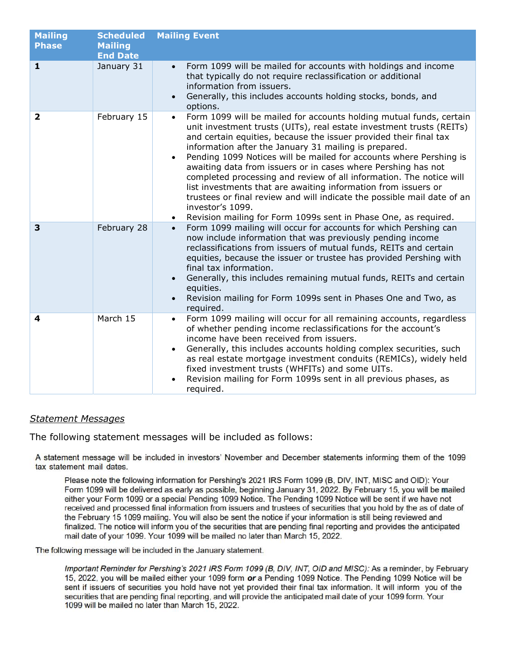| <b>Mailing</b><br><b>Phase</b> | <b>Scheduled</b><br><b>Mailing</b><br><b>End Date</b> | <b>Mailing Event</b>                                                                                                                                                                                                                                                                                                                                                                                                                                                                                                                                                                                                                                                                                                                     |
|--------------------------------|-------------------------------------------------------|------------------------------------------------------------------------------------------------------------------------------------------------------------------------------------------------------------------------------------------------------------------------------------------------------------------------------------------------------------------------------------------------------------------------------------------------------------------------------------------------------------------------------------------------------------------------------------------------------------------------------------------------------------------------------------------------------------------------------------------|
| 1                              | January 31                                            | Form 1099 will be mailed for accounts with holdings and income<br>that typically do not require reclassification or additional<br>information from issuers.<br>Generally, this includes accounts holding stocks, bonds, and<br>options.                                                                                                                                                                                                                                                                                                                                                                                                                                                                                                  |
| $\overline{\mathbf{2}}$        | February 15                                           | Form 1099 will be mailed for accounts holding mutual funds, certain<br>$\bullet$<br>unit investment trusts (UITs), real estate investment trusts (REITs)<br>and certain equities, because the issuer provided their final tax<br>information after the January 31 mailing is prepared.<br>Pending 1099 Notices will be mailed for accounts where Pershing is<br>awaiting data from issuers or in cases where Pershing has not<br>completed processing and review of all information. The notice will<br>list investments that are awaiting information from issuers or<br>trustees or final review and will indicate the possible mail date of an<br>investor's 1099.<br>Revision mailing for Form 1099s sent in Phase One, as required. |
| 3                              | February 28                                           | Form 1099 mailing will occur for accounts for which Pershing can<br>$\bullet$<br>now include information that was previously pending income<br>reclassifications from issuers of mutual funds, REITs and certain<br>equities, because the issuer or trustee has provided Pershing with<br>final tax information.<br>Generally, this includes remaining mutual funds, REITs and certain<br>equities.<br>Revision mailing for Form 1099s sent in Phases One and Two, as<br>required.                                                                                                                                                                                                                                                       |
| 4                              | March 15                                              | Form 1099 mailing will occur for all remaining accounts, regardless<br>$\bullet$<br>of whether pending income reclassifications for the account's<br>income have been received from issuers.<br>Generally, this includes accounts holding complex securities, such<br>as real estate mortgage investment conduits (REMICs), widely held<br>fixed investment trusts (WHFITs) and some UITs.<br>Revision mailing for Form 1099s sent in all previous phases, as<br>required.                                                                                                                                                                                                                                                               |

### Statement Messages

The following statement messages will be included as follows:

A statement message will be included in investors' November and December statements informing them of the 1099 tax statement mail dates.

Please note the following information for Pershing's 2021 IRS Form 1099 (B, DIV, INT, MISC and OID): Your Form 1099 will be delivered as early as possible, beginning January 31, 2022. By February 15, you will be mailed either your Form 1099 or a special Pending 1099 Notice. The Pending 1099 Notice will be sent if we have not received and processed final information from issuers and trustees of securities that you hold by the as of date of the February 15 1099 mailing. You will also be sent the notice if your information is still being reviewed and finalized. The notice will inform you of the securities that are pending final reporting and provides the anticipated mail date of your 1099. Your 1099 will be mailed no later than March 15, 2022.

The following message will be included in the January statement.

Important Reminder for Pershing's 2021 IRS Form 1099 (B, DIV, INT, OID and MISC): As a reminder, by February 15, 2022, you will be mailed either your 1099 form or a Pending 1099 Notice. The Pending 1099 Notice will be sent if issuers of securities you hold have not yet provided their final tax information. It will inform you of the securities that are pending final reporting, and will provide the anticipated mail date of your 1099 form. Your 1099 will be mailed no later than March 15, 2022.